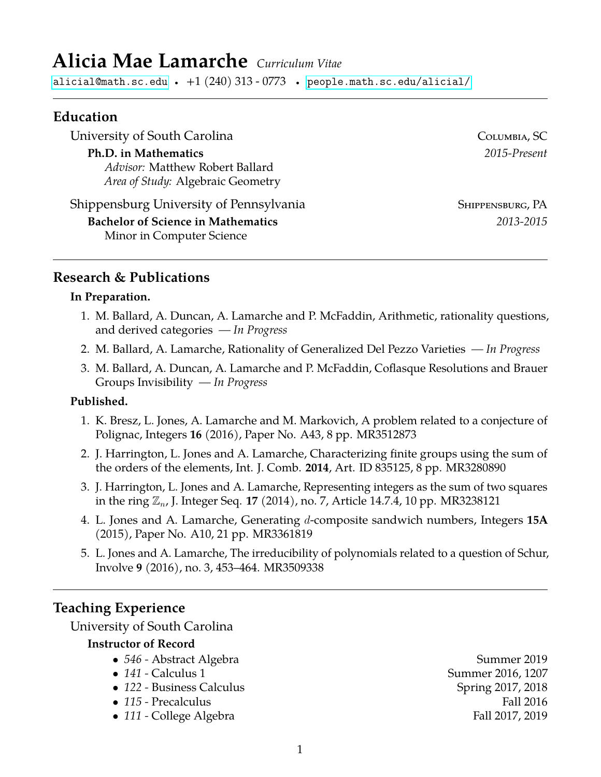# **Alicia Mae Lamarche** *Curriculum Vitae*

[alicial@math.sc.edu](mailto:alicial@math.sc.edu) •  $+1$   $(240)$   $313$  -  $0773$  • [people.math.sc.edu/alicial/](http://www.people.math.sc.edu/alicial)

#### **Education**

University of South Carolina Columbia, SC

#### **Ph.D. in Mathematics** *2015-Present*

*Advisor:* Matthew Robert Ballard *Area of Study:* Algebraic Geometry

Shippensburg University of Pennsylvania Shippensburg, PA **Bachelor of Science in Mathematics** *2013-2015* Minor in Computer Science

## **Research & Publications**

#### **In Preparation.**

- 1. M. Ballard, A. Duncan, A. Lamarche and P. McFaddin, Arithmetic, rationality questions, and derived categories *— In Progress*
- 2. M. Ballard, A. Lamarche, Rationality of Generalized Del Pezzo Varieties  *In Progress*
- 3. M. Ballard, A. Duncan, A. Lamarche and P. McFaddin, Coflasque Resolutions and Brauer Groups Invisibility *— In Progress*

#### **Published.**

- 1. K. Bresz, L. Jones, A. Lamarche and M. Markovich, A problem related to a conjecture of Polignac, Integers **16** (2016), Paper No. A43, 8 pp. MR3512873
- 2. J. Harrington, L. Jones and A. Lamarche, Characterizing finite groups using the sum of the orders of the elements, Int. J. Comb. **2014**, Art. ID 835125, 8 pp. MR3280890
- 3. J. Harrington, L. Jones and A. Lamarche, Representing integers as the sum of two squares in the ring Zn, J. Integer Seq. **17** (2014), no. 7, Article 14.7.4, 10 pp. MR3238121
- 4. L. Jones and A. Lamarche, Generating d-composite sandwich numbers, Integers **15A** (2015), Paper No. A10, 21 pp. MR3361819
- 5. L. Jones and A. Lamarche, The irreducibility of polynomials related to a question of Schur, Involve **9** (2016), no. 3, 453–464. MR3509338

### **Teaching Experience**

University of South Carolina

#### **Instructor of Record**

- 546 Abstract Algebra **Summer 2019**
- 
- 122 Business Calculus **Spring 2017, 2018**
- 
- 111 College Algebra **Fall 2017**, 2019

• 141 - Calculus 1 Summer 2016, 1207 • *115 -* Precalculus Fall 2016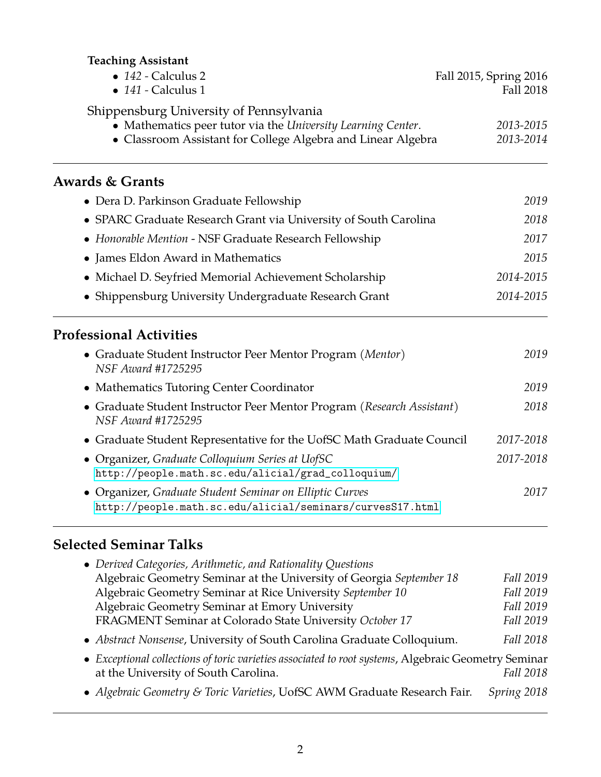## **Teaching Assistant**

| $\bullet$ 142 - Calculus 2<br>$\bullet$ 141 - Calculus 1                                                                                                                | Fall 2015, Spring 2016<br>Fall 2018 |  |
|-------------------------------------------------------------------------------------------------------------------------------------------------------------------------|-------------------------------------|--|
| Shippensburg University of Pennsylvania<br>• Mathematics peer tutor via the University Learning Center.<br>• Classroom Assistant for College Algebra and Linear Algebra | 2013-2015<br>2013-2014              |  |
| <b>Awards &amp; Grants</b>                                                                                                                                              |                                     |  |
| • Dera D. Parkinson Graduate Fellowship                                                                                                                                 | 2019                                |  |
| • SPARC Graduate Research Grant via University of South Carolina                                                                                                        | 2018                                |  |
| • Honorable Mention - NSF Graduate Research Fellowship                                                                                                                  | 2017                                |  |
| • James Eldon Award in Mathematics                                                                                                                                      | 2015                                |  |
| • Michael D. Seyfried Memorial Achievement Scholarship                                                                                                                  | 2014-2015                           |  |
| • Shippensburg University Undergraduate Research Grant                                                                                                                  | 2014-2015                           |  |
| <b>Professional Activities</b>                                                                                                                                          |                                     |  |
| • Graduate Student Instructor Peer Mentor Program (Mentor)<br>NSF Award #1725295                                                                                        | 2019                                |  |
| • Mathematics Tutoring Center Coordinator                                                                                                                               | 2019                                |  |
| • Graduate Student Instructor Peer Mentor Program (Research Assistant)<br><b>NSF Award #1725295</b>                                                                     | 2018                                |  |
| • Graduate Student Representative for the UofSC Math Graduate Council                                                                                                   | 2017-2018                           |  |
| • Organizer, Graduate Colloquium Series at UofSC<br>http://people.math.sc.edu/alicial/grad_colloquium/                                                                  | 2017-2018                           |  |
| • Organizer, Graduate Student Seminar on Elliptic Curves<br>http://people.math.sc.edu/alicial/seminars/curvesS17.html                                                   | 2017                                |  |

## **Selected Seminar Talks**

| • Derived Categories, Arithmetic, and Rationality Questions                                                                                 |             |
|---------------------------------------------------------------------------------------------------------------------------------------------|-------------|
| Algebraic Geometry Seminar at the University of Georgia September 18                                                                        | Fall 2019   |
| Algebraic Geometry Seminar at Rice University September 10                                                                                  | Fall 2019   |
| Algebraic Geometry Seminar at Emory University                                                                                              | Fall 2019   |
| FRAGMENT Seminar at Colorado State University October 17                                                                                    | Fall 2019   |
| • Abstract Nonsense, University of South Carolina Graduate Colloquium.                                                                      | Fall 2018   |
| • Exceptional collections of toric varieties associated to root systems, Algebraic Geometry Seminar<br>at the University of South Carolina. | Fall 2018   |
| • Algebraic Geometry & Toric Varieties, UofSC AWM Graduate Research Fair.                                                                   | Spring 2018 |